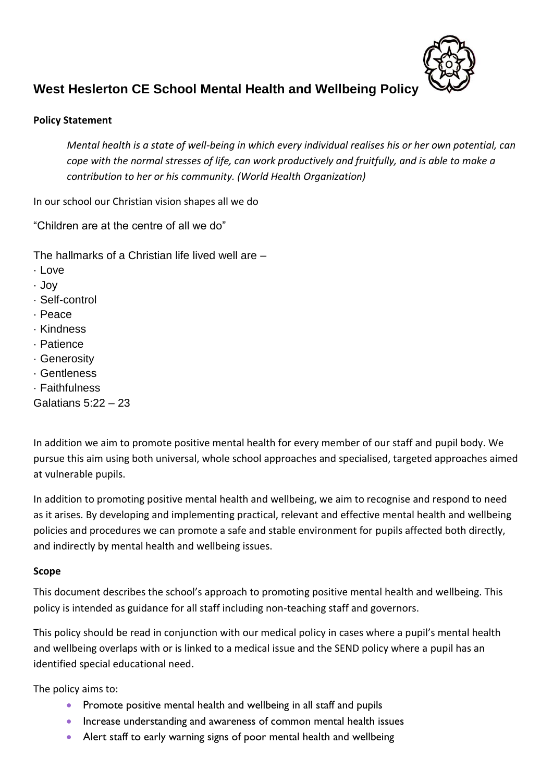

# **West Heslerton CE School Mental Health and Wellbeing Policy**

### **Policy Statement**

*Mental health is a state of well-being in which every individual realises his or her own potential, can cope with the normal stresses of life, can work productively and fruitfully, and is able to make a contribution to her or his community. (World Health Organization)* 

In our school our Christian vision shapes all we do

"Children are at the centre of all we do"

The hallmarks of a Christian life lived well are –

- · Love
- · Joy
- · Self-control
- · Peace
- · Kindness
- · Patience
- · Generosity
- · Gentleness
- · Faithfulness

Galatians 5:22 – 23

In addition we aim to promote positive mental health for every member of our staff and pupil body. We pursue this aim using both universal, whole school approaches and specialised, targeted approaches aimed at vulnerable pupils.

In addition to promoting positive mental health and wellbeing, we aim to recognise and respond to need as it arises. By developing and implementing practical, relevant and effective mental health and wellbeing policies and procedures we can promote a safe and stable environment for pupils affected both directly, and indirectly by mental health and wellbeing issues.

### **Scope**

This document describes the school's approach to promoting positive mental health and wellbeing. This policy is intended as guidance for all staff including non-teaching staff and governors.

This policy should be read in conjunction with our medical policy in cases where a pupil's mental health and wellbeing overlaps with or is linked to a medical issue and the SEND policy where a pupil has an identified special educational need.

The policy aims to:

- Promote positive mental health and wellbeing in all staff and pupils
- Increase understanding and awareness of common mental health issues
- Alert staff to early warning signs of poor mental health and wellbeing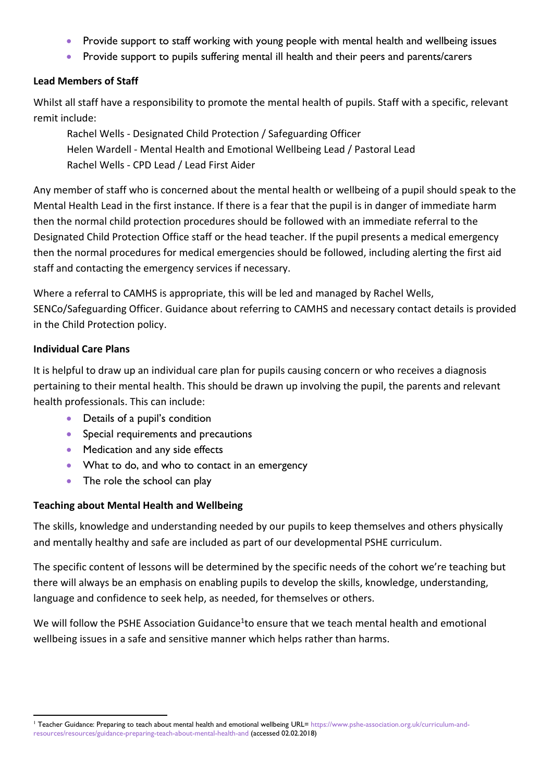- Provide support to staff working with young people with mental health and wellbeing issues
- Provide support to pupils suffering mental ill health and their peers and parents/carers

### **Lead Members of Staff**

Whilst all staff have a responsibility to promote the mental health of pupils. Staff with a specific, relevant remit include:

Rachel Wells - Designated Child Protection / Safeguarding Officer Helen Wardell - Mental Health and Emotional Wellbeing Lead / Pastoral Lead Rachel Wells - CPD Lead / Lead First Aider

Any member of staff who is concerned about the mental health or wellbeing of a pupil should speak to the Mental Health Lead in the first instance. If there is a fear that the pupil is in danger of immediate harm then the normal child protection procedures should be followed with an immediate referral to the Designated Child Protection Office staff or the head teacher. If the pupil presents a medical emergency then the normal procedures for medical emergencies should be followed, including alerting the first aid staff and contacting the emergency services if necessary.

Where a referral to CAMHS is appropriate, this will be led and managed by Rachel Wells, SENCo/Safeguarding Officer. Guidance about referring to CAMHS and necessary contact details is provided in the Child Protection policy.

### **Individual Care Plans**

**.** 

It is helpful to draw up an individual care plan for pupils causing concern or who receives a diagnosis pertaining to their mental health. This should be drawn up involving the pupil, the parents and relevant health professionals. This can include:

- Details of a pupil's condition
- Special requirements and precautions
- Medication and any side effects
- What to do, and who to contact in an emergency
- The role the school can play

### **Teaching about Mental Health and Wellbeing**

The skills, knowledge and understanding needed by our pupils to keep themselves and others physically and mentally healthy and safe are included as part of our developmental PSHE curriculum.

The specific content of lessons will be determined by the specific needs of the cohort we're teaching but there will always be an emphasis on enabling pupils to develop the skills, knowledge, understanding, language and confidence to seek help, as needed, for themselves or others.

We will follow the PSHE Association Guidance<sup>1</sup>to ensure that we teach mental health and emotional wellbeing issues in a safe and sensitive manner which helps rather than harms.

<sup>&</sup>lt;sup>1</sup> Teacher Guidance: Preparing to teach about mental health and emotional wellbeing URL= [https://www.pshe-association.org.uk/curriculum-and](https://www.pshe-association.org.uk/curriculum-and-resources/resources/guidance-preparing-teach-about-mental-health-and)[resources/resources/guidance-preparing-teach-about-mental-health-and](https://www.pshe-association.org.uk/curriculum-and-resources/resources/guidance-preparing-teach-about-mental-health-and) (accessed 02.02.2018)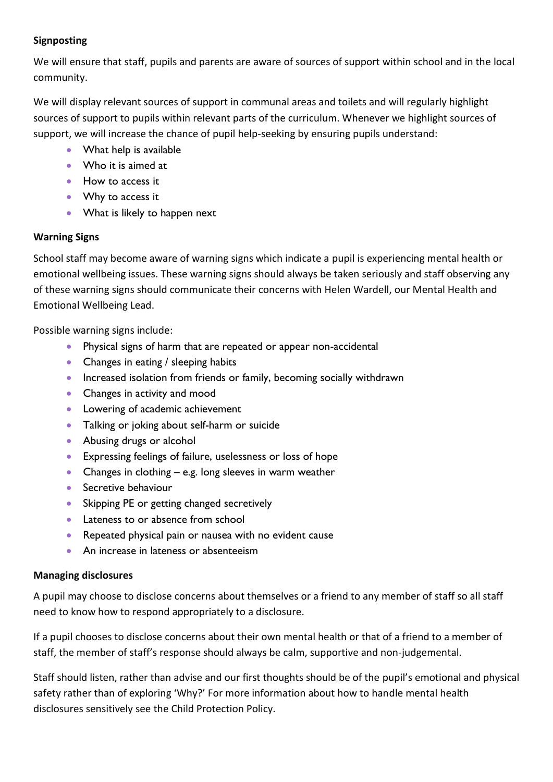## **Signposting**

We will ensure that staff, pupils and parents are aware of sources of support within school and in the local community.

We will display relevant sources of support in communal areas and toilets and will regularly highlight sources of support to pupils within relevant parts of the curriculum. Whenever we highlight sources of support, we will increase the chance of pupil help-seeking by ensuring pupils understand:

- What help is available
- Who it is aimed at
- How to access it
- Why to access it
- What is likely to happen next

## **Warning Signs**

School staff may become aware of warning signs which indicate a pupil is experiencing mental health or emotional wellbeing issues. These warning signs should always be taken seriously and staff observing any of these warning signs should communicate their concerns with Helen Wardell, our Mental Health and Emotional Wellbeing Lead.

Possible warning signs include:

- Physical signs of harm that are repeated or appear non-accidental
- Changes in eating / sleeping habits
- Increased isolation from friends or family, becoming socially withdrawn
- Changes in activity and mood
- Lowering of academic achievement
- Talking or joking about self-harm or suicide
- Abusing drugs or alcohol
- Expressing feelings of failure, uselessness or loss of hope
- Changes in clothing e.g. long sleeves in warm weather
- Secretive behaviour
- Skipping PE or getting changed secretively
- Lateness to or absence from school
- Repeated physical pain or nausea with no evident cause
- An increase in lateness or absenteeism

## **Managing disclosures**

A pupil may choose to disclose concerns about themselves or a friend to any member of staff so all staff need to know how to respond appropriately to a disclosure.

If a pupil chooses to disclose concerns about their own mental health or that of a friend to a member of staff, the member of staff's response should always be calm, supportive and non-judgemental.

Staff should listen, rather than advise and our first thoughts should be of the pupil's emotional and physical safety rather than of exploring 'Why?' For more information about how to handle mental health disclosures sensitively see the Child Protection Policy.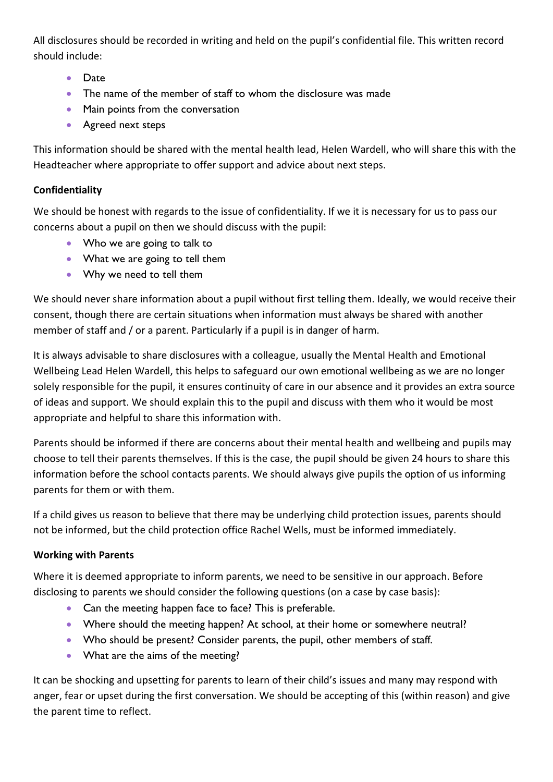All disclosures should be recorded in writing and held on the pupil's confidential file. This written record should include:

- Date
- The name of the member of staff to whom the disclosure was made
- Main points from the conversation
- Agreed next steps

This information should be shared with the mental health lead, Helen Wardell, who will share this with the Headteacher where appropriate to offer support and advice about next steps.

## **Confidentiality**

We should be honest with regards to the issue of confidentiality. If we it is necessary for us to pass our concerns about a pupil on then we should discuss with the pupil:

- Who we are going to talk to
- What we are going to tell them
- Why we need to tell them

We should never share information about a pupil without first telling them. Ideally, we would receive their consent, though there are certain situations when information must always be shared with another member of staff and / or a parent. Particularly if a pupil is in danger of harm.

It is always advisable to share disclosures with a colleague, usually the Mental Health and Emotional Wellbeing Lead Helen Wardell, this helps to safeguard our own emotional wellbeing as we are no longer solely responsible for the pupil, it ensures continuity of care in our absence and it provides an extra source of ideas and support. We should explain this to the pupil and discuss with them who it would be most appropriate and helpful to share this information with.

Parents should be informed if there are concerns about their mental health and wellbeing and pupils may choose to tell their parents themselves. If this is the case, the pupil should be given 24 hours to share this information before the school contacts parents. We should always give pupils the option of us informing parents for them or with them.

If a child gives us reason to believe that there may be underlying child protection issues, parents should not be informed, but the child protection office Rachel Wells, must be informed immediately.

## **Working with Parents**

Where it is deemed appropriate to inform parents, we need to be sensitive in our approach. Before disclosing to parents we should consider the following questions (on a case by case basis):

- Can the meeting happen face to face? This is preferable.
- Where should the meeting happen? At school, at their home or somewhere neutral?
- Who should be present? Consider parents, the pupil, other members of staff.
- What are the aims of the meeting?

It can be shocking and upsetting for parents to learn of their child's issues and many may respond with anger, fear or upset during the first conversation. We should be accepting of this (within reason) and give the parent time to reflect.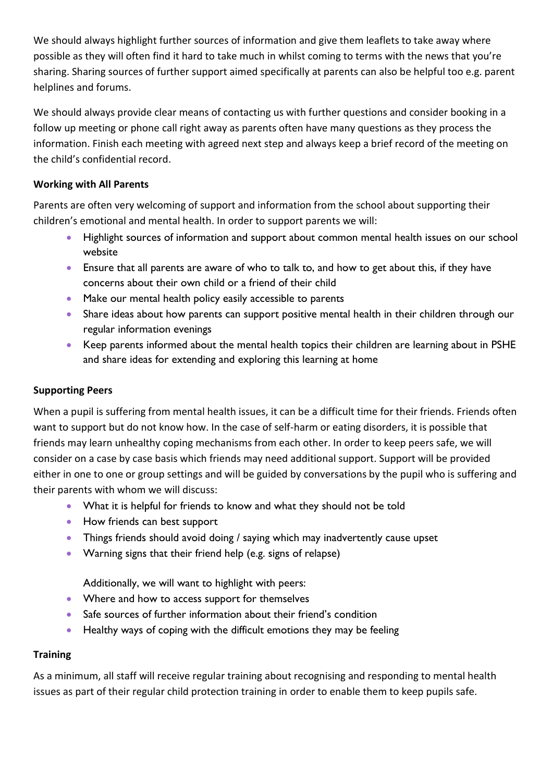We should always highlight further sources of information and give them leaflets to take away where possible as they will often find it hard to take much in whilst coming to terms with the news that you're sharing. Sharing sources of further support aimed specifically at parents can also be helpful too e.g. parent helplines and forums.

We should always provide clear means of contacting us with further questions and consider booking in a follow up meeting or phone call right away as parents often have many questions as they process the information. Finish each meeting with agreed next step and always keep a brief record of the meeting on the child's confidential record.

## **Working with All Parents**

Parents are often very welcoming of support and information from the school about supporting their children's emotional and mental health. In order to support parents we will:

- Highlight sources of information and support about common mental health issues on our school website
- Ensure that all parents are aware of who to talk to, and how to get about this, if they have concerns about their own child or a friend of their child
- Make our mental health policy easily accessible to parents
- Share ideas about how parents can support positive mental health in their children through our regular information evenings
- Keep parents informed about the mental health topics their children are learning about in PSHE and share ideas for extending and exploring this learning at home

## **Supporting Peers**

When a pupil is suffering from mental health issues, it can be a difficult time for their friends. Friends often want to support but do not know how. In the case of self-harm or eating disorders, it is possible that friends may learn unhealthy coping mechanisms from each other. In order to keep peers safe, we will consider on a case by case basis which friends may need additional support. Support will be provided either in one to one or group settings and will be guided by conversations by the pupil who is suffering and their parents with whom we will discuss:

- What it is helpful for friends to know and what they should not be told
- How friends can best support
- Things friends should avoid doing / saying which may inadvertently cause upset
- Warning signs that their friend help (e.g. signs of relapse)

Additionally, we will want to highlight with peers:

- Where and how to access support for themselves
- Safe sources of further information about their friend's condition
- Healthy ways of coping with the difficult emotions they may be feeling

## **Training**

As a minimum, all staff will receive regular training about recognising and responding to mental health issues as part of their regular child protection training in order to enable them to keep pupils safe.